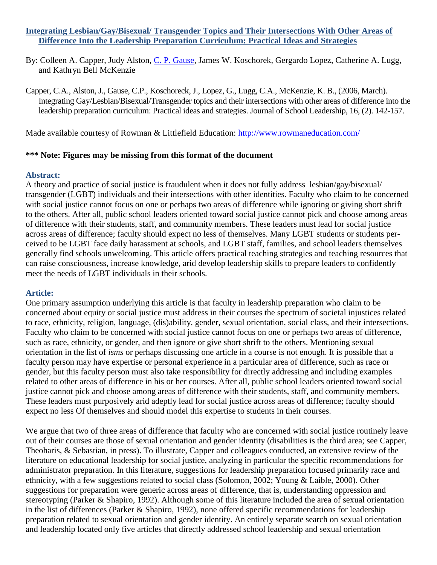#### **Integrating Lesbian/Gay/Bisexual/ Transgender Topics and Their Intersections With Other Areas of Difference Into the Leadership Preparation Curriculum: Practical Ideas and Strategies**

- By: Colleen A. Capper, Judy Alston, [C. P. Gause,](http://libres.uncg.edu/ir/uncg/clist.aspx?id=1172) James W. Koschorek, Gergardo Lopez, Catherine A. Lugg, and Kathryn Bell McKenzie
- Capper, C.A., Alston, J., Gause, C.P., Koschoreck, J., Lopez, G., Lugg, C.A., McKenzie, K. B., (2006, March). Integrating Gay/Lesbian/Bisexual/Transgender topics and their intersections with other areas of difference into the leadership preparation curriculum: Practical ideas and strategies. Journal of School Leadership, 16, (2). 142-157.

Made available courtesy of Rowman & Littlefield Education:<http://www.rowmaneducation.com/>

#### **\*\*\* Note: Figures may be missing from this format of the document**

#### **Abstract:**

A theory and practice of social justice is fraudulent when it does not fully address lesbian/gay/bisexual/ transgender (LGBT) individuals and their intersections with other identities. Faculty who claim to be concerned with social justice cannot focus on one or perhaps two areas of difference while ignoring or giving short shrift to the others. After all, public school leaders oriented toward social justice cannot pick and choose among areas of difference with their students, staff, and community members. These leaders must lead for social justice across areas of difference; faculty should expect no less of themselves. Many LGBT students or students perceived to be LGBT face daily harassment at schools, and LGBT staff, families, and school leaders themselves generally find schools unwelcoming. This article offers practical teaching strategies and teaching resources that can raise consciousness, increase knowledge, arid develop leadership skills to prepare leaders to confidently meet the needs of LGBT individuals in their schools.

# **Article:**

One primary assumption underlying this article is that faculty in leadership preparation who claim to be concerned about equity or social justice must address in their courses the spectrum of societal injustices related to race, ethnicity, religion, language, (dis)ability, gender, sexual orientation, social class, and their intersections. Faculty who claim to be concerned with social justice cannot focus on one or perhaps two areas of difference, such as race, ethnicity, or gender, and then ignore or give short shrift to the others. Mentioning sexual orientation in the list of *isms* or perhaps discussing one article in a course is not enough. It is possible that a faculty person may have expertise or personal experience in a particular area of difference, such as race or gender, but this faculty person must also take responsibility for directly addressing and including examples related to other areas of difference in his or her courses. After all, public school leaders oriented toward social justice cannot pick and choose among areas of difference with their students, staff, and community members. These leaders must purposively arid adeptly lead for social justice across areas of difference; faculty should expect no less Of themselves and should model this expertise to students in their courses.

We argue that two of three areas of difference that faculty who are concerned with social justice routinely leave out of their courses are those of sexual orientation and gender identity (disabilities is the third area; see Capper, Theoharis, & Sebastian, in press). To illustrate, Capper and colleagues conducted, an extensive review of the literature on educational leadership for social justice, analyzing in particular the specific recommendations for administrator preparation. In this literature, suggestions for leadership preparation focused primarily race and ethnicity, with a few suggestions related to social class (Solomon, 2002; Young & Laible, 2000). Other suggestions for preparation were generic across areas of difference, that is, understanding oppression and stereotyping (Parker & Shapiro, 1992). Although some of this literature included the area of sexual orientation in the list of differences (Parker & Shapiro, 1992), none offered specific recommendations for leadership preparation related to sexual orientation and gender identity. An entirely separate search on sexual orientation and leadership located only five articles that directly addressed school leadership and sexual orientation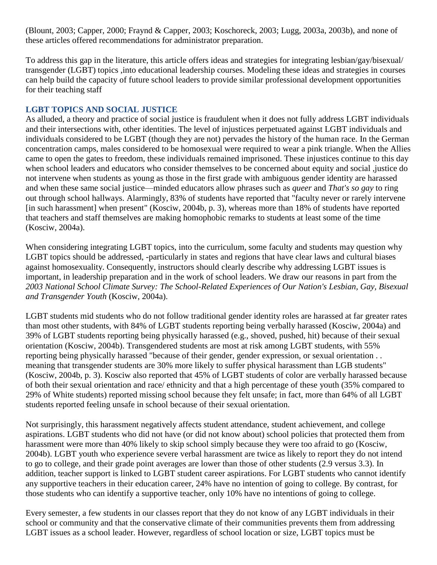(Blount, 2003; Capper, 2000; Fraynd & Capper, 2003; Koschoreck, 2003; Lugg, 2003a, 2003b), and none of these articles offered recommendations for administrator preparation.

To address this gap in the literature, this article offers ideas and strategies for integrating lesbian/gay/bisexual/ transgender (LGBT) topics ,into educational leadership courses. Modeling these ideas and strategies in courses can help build the capacity of future school leaders to provide similar professional development opportunities for their teaching staff

# **LGBT TOPICS AND SOCIAL JUSTICE**

As alluded, a theory and practice of social justice is fraudulent when it does not fully address LGBT individuals and their intersections with, other identities. The level of injustices perpetuated against LGBT individuals and individuals considered to be LGBT (though they are not) pervades the history of the human race. In the German concentration camps, males considered to be homosexual were required to wear a pink triangle. When the Allies came to open the gates to freedom, these individuals remained imprisoned. These injustices continue to this day when school leaders and educators who consider themselves to be concerned about equity and social ,justice do not intervene when students as young as those in the first grade with ambiguous gender identity are harassed and when these same social justice—minded educators allow phrases such as *queer* and *That's so gay* to ring out through school hallways. Alarmingly, 83% of students have reported that "faculty never or rarely intervene [in such harassment] when present" (Kosciw, 2004b, p. 3), whereas more than 18% of students have reported that teachers and staff themselves are making homophobic remarks to students at least some of the time (Kosciw, 2004a).

When considering integrating LGBT topics, into the curriculum, some faculty and students may question why LGBT topics should be addressed, -particularly in states and regions that have clear laws and cultural biases against homosexuality. Consequently, instructors should clearly describe why addressing LGBT issues is important, in leadership preparation and in the work of school leaders. We draw our reasons in part from the *2003 National School Climate Survey: The School-Related Experiences of Our Nation's Lesbian, Gay, Bisexual and Transgender Youth* (Kosciw, 2004a).

LGBT students mid students who do not follow traditional gender identity roles are harassed at far greater rates than most other students, with 84% of LGBT students reporting being verbally harassed (Kosciw, 2004a) and 39% of LGBT students reporting being physically harassed (e.g., shoved, pushed, hit) because of their sexual orientation (Kosciw, 2004b). Transgendered students are most at risk among LGBT students, with 55% reporting being physically harassed "because of their gender, gender expression, or sexual orientation . . meaning that transgender students are 30% more likely to suffer physical harassment than LGB students" (Kosciw, 2004b, p. 3). Kosciw also reported that 45% of LGBT students of color are verbally harassed because of both their sexual orientation and race/ ethnicity and that a high percentage of these youth (35% compared to 29% of White students) reported missing school because they felt unsafe; in fact, more than 64% of all LGBT students reported feeling unsafe in school because of their sexual orientation.

Not surprisingly, this harassment negatively affects student attendance, student achievement, and college aspirations. LGBT students who did not have (or did not know about) school policies that protected them from harassment were more than 40% likely to skip school simply because they were too afraid to go (Kosciw, 2004b). LGBT youth who experience severe verbal harassment are twice as likely to report they do not intend to go to college, and their grade point averages are lower than those of other students (2.9 versus 3.3). In addition, teacher support is linked to LGBT student career aspirations. For LGBT students who cannot identify any supportive teachers in their education career, 24% have no intention of going to college. By contrast, for those students who can identify a supportive teacher, only 10% have no intentions of going to college.

Every semester, a few students in our classes report that they do not know of any LGBT individuals in their school or community and that the conservative climate of their communities prevents them from addressing LGBT issues as a school leader. However, regardless of school location or size, LGBT topics must be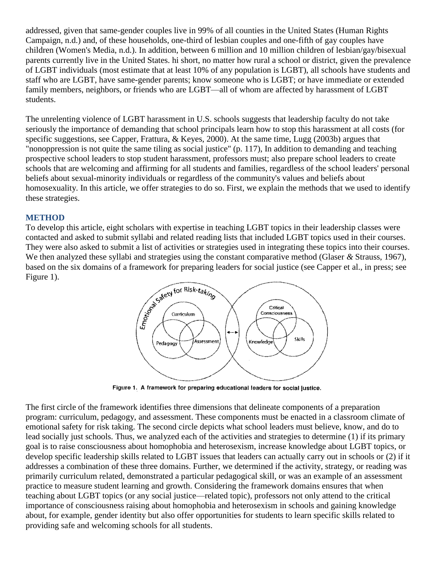addressed, given that same-gender couples live in 99% of all counties in the United States (Human Rights Campaign, n.d.) and, of these households, one-third of lesbian couples and one-fifth of gay couples have children (Women's Media, n.d.). In addition, between 6 million and 10 million children of lesbian/gay/bisexual parents currently live in the United States. hi short, no matter how rural a school or district, given the prevalence of LGBT individuals (most estimate that at least 10% of any population is LGBT), all schools have students and staff who are LGBT, have same-gender parents; know someone who is LGBT; or have immediate or extended family members, neighbors, or friends who are LGBT—all of whom are affected by harassment of LGBT students.

The unrelenting violence of LGBT harassment in U.S. schools suggests that leadership faculty do not take seriously the importance of demanding that school principals learn how to stop this harassment at all costs (for specific suggestions, see Capper, Frattura, & Keyes, 2000). At the same time, Lugg (2003b) argues that "nonoppression is not quite the same tiling as social justice" (p. 117), In addition to demanding and teaching prospective school leaders to stop student harassment, professors must; also prepare school leaders to create schools that are welcoming and affirming for all students and families, regardless of the school leaders' personal beliefs about sexual-minority individuals or regardless of the community's values and beliefs about homosexuality. In this article, we offer strategies to do so. First, we explain the methods that we used to identify these strategies.

#### **METHOD**

To develop this article, eight scholars with expertise in teaching LGBT topics in their leadership classes were contacted and asked to submit syllabi and related reading lists that included LGBT topics used in their courses. They were also asked to submit a list of activities or strategies used in integrating these topics into their courses. We then analyzed these syllabi and strategies using the constant comparative method (Glaser *&* Strauss, 1967), Figure 1).



Figure 1. A framework for preparing educational leaders for social justice.

The first circle of the framework identifies three dimensions that delineate components of a preparation program: curriculum, pedagogy, and assessment. These components must be enacted in a classroom climate of emotional safety for risk taking. The second circle depicts what school leaders must believe, know, and do to lead socially just schools. Thus, we analyzed each of the activities and strategies to determine (1) if its primary goal is to raise consciousness about homophobia and heterosexism, increase knowledge about LGBT topics, or develop specific leadership skills related to LGBT issues that leaders can actually carry out in schools or (2) if it addresses a combination of these three domains. Further, we determined if the activity, strategy, or reading was primarily curriculum related, demonstrated a particular pedagogical skill, or was an example of an assessment practice to measure student learning and growth. Considering the framework domains ensures that when teaching about LGBT topics (or any social justice—related topic), professors not only attend to the critical importance of consciousness raising about homophobia and heterosexism in schools and gaining knowledge about, for example, gender identity but also offer opportunities for students to learn specific skills related to providing safe and welcoming schools for all students.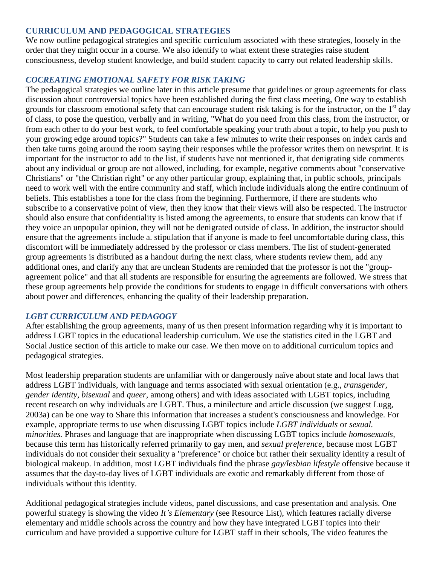#### **CURRICULUM AND PEDAGOGICAL STRATEGIES**

We now outline pedagogical strategies and specific curriculum associated with these strategies, loosely in the order that they might occur in a course. We also identify to what extent these strategies raise student consciousness, develop student knowledge, and build student capacity to carry out related leadership skills.

# *COCREATING EMOTIONAL SAFETY FOR RISK TAKING*

The pedagogical strategies we outline later in this article presume that guidelines or group agreements for class discussion about controversial topics have been established during the first class meeting, One way to establish grounds for classroom emotional safety that can encourage student risk taking is for the instructor, on the 1<sup>st</sup> day of class, to pose the question, verbally and in writing, "What do you need from this class, from the instructor, or from each other to do your best work, to feel comfortable speaking your truth about a topic, to help you push to your growing edge around topics?" Students can take a few minutes to write their responses on index cards and then take turns going around the room saying their responses while the professor writes them on newsprint. It is important for the instructor to add to the list, if students have not mentioned it, that denigrating side comments about any individual or group are not allowed, including, for example, negative comments about "conservative Christians" or "the Christian right" or any other particular group, explaining that, in public schools, principals need to work well with the entire community and staff, which include individuals along the entire continuum of beliefs. This establishes a tone for the class from the beginning. Furthermore, if there are students who subscribe to a conservative point of view, then they know that their views will also be respected. The instructor should also ensure that confidentiality is listed among the agreements, to ensure that students can know that if they voice an unpopular opinion, they will not be denigrated outside of class. In addition, the instructor should ensure that the agreements include a. stipulation that if anyone is made to feel uncomfortable during class, this discomfort will be immediately addressed by the professor or class members. The list of student-generated group agreements is distributed as a handout during the next class, where students review them, add any additional ones, and clarify any that are unclean Students are reminded that the professor is not the "groupagreement police" and that all students are responsible for ensuring the agreements are followed. We stress that these group agreements help provide the conditions for students to engage in difficult conversations with others about power and differences, enhancing the quality of their leadership preparation.

# *LGBT CURRICULUM AND PEDAGOGY*

After establishing the group agreements, many of us then present information regarding why it is important to address LGBT topics in the educational leadership curriculum. We use the statistics cited in the LGBT and Social Justice section of this article to make our case. We then move on to additional curriculum topics and pedagogical strategies.

Most leadership preparation students are unfamiliar with or dangerously naïve about state and local laws that address LGBT individuals, with language and terms associated with sexual orientation (e.g., *transgender, gender identity, bisexual* and *queer,* among others) and with ideas associated with LGBT topics, including recent research on why individuals are LGBT. Thus, a minilecture and article discussion (we suggest Lugg, 2003a) can be one way to Share this information that increases a student's consciousness and knowledge. For example, appropriate terms to use when discussing LGBT topics include *LGBT individuals* or *sexual. minorities.* Phrases and language that are inappropriate when discussing LGBT topics include *homosexuals,*  because this term has historically referred primarily to gay men, and *sexual preference,* because most LGBT individuals do not consider their sexuality a "preference" or choice but rather their sexuality identity a result of biological makeup. In addition, most LGBT individuals find the phrase *gay/lesbian lifestyle* offensive because it assumes that the day-to-day lives of LGBT individuals are exotic and remarkably different from those of individuals without this identity.

Additional pedagogical strategies include videos, panel discussions, and case presentation and analysis. One powerful strategy is showing the video *It's Elementary* (see Resource List), which features racially diverse elementary and middle schools across the country and how they have integrated LGBT topics into their curriculum and have provided a supportive culture for LGBT staff in their schools, The video features the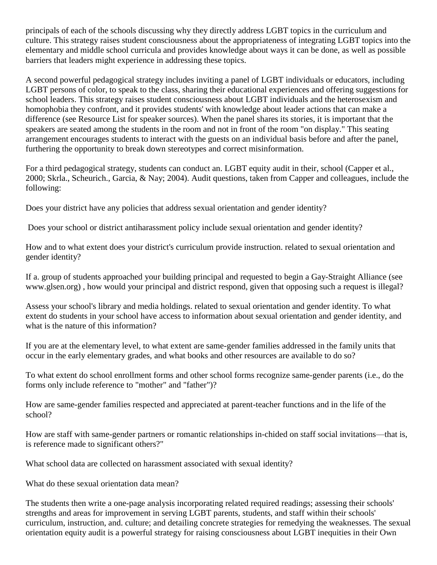principals of each of the schools discussing why they directly address LGBT topics in the curriculum and culture. This strategy raises student consciousness about the appropriateness of integrating LGBT topics into the elementary and middle school curricula and provides knowledge about ways it can be done, as well as possible barriers that leaders might experience in addressing these topics.

A second powerful pedagogical strategy includes inviting a panel of LGBT individuals or educators, including LGBT persons of color, to speak to the class, sharing their educational experiences and offering suggestions for school leaders. This strategy raises student consciousness about LGBT individuals and the heterosexism and homophobia they confront, and it provides students' with knowledge about leader actions that can make a difference (see Resource List for speaker sources). When the panel shares its stories, it is important that the speakers are seated among the students in the room and not in front of the room "on display." This seating arrangement encourages students to interact with the guests on an individual basis before and after the panel, furthering the opportunity to break down stereotypes and correct misinformation.

For a third pedagogical strategy, students can conduct an. LGBT equity audit in their, school (Capper et al., 2000; Skrla., Scheurich., Garcia, & Nay; 2004). Audit questions, taken from Capper and colleagues, include the following:

Does your district have any policies that address sexual orientation and gender identity?

Does your school or district antiharassment policy include sexual orientation and gender identity?

How and to what extent does your district's curriculum provide instruction. related to sexual orientation and gender identity?

If a. group of students approached your building principal and requested to begin a Gay-Straight Alliance (see www.glsen.org) , how would your principal and district respond, given that opposing such a request is illegal?

Assess your school's library and media holdings. related to sexual orientation and gender identity. To what extent do students in your school have access to information about sexual orientation and gender identity, and what is the nature of this information?

If you are at the elementary level, to what extent are same-gender families addressed in the family units that occur in the early elementary grades, and what books and other resources are available to do so?

To what extent do school enrollment forms and other school forms recognize same-gender parents (i.e., do the forms only include reference to "mother" and "father")?

How are same-gender families respected and appreciated at parent-teacher functions and in the life of the school?

How are staff with same-gender partners or romantic relationships in-chided on staff social invitations—that is, is reference made to significant others?"

What school data are collected on harassment associated with sexual identity?

What do these sexual orientation data mean?

The students then write a one-page analysis incorporating related required readings; assessing their schools' strengths and areas for improvement in serving LGBT parents, students, and staff within their schools' curriculum, instruction, and. culture; and detailing concrete strategies for remedying the weaknesses. The sexual orientation equity audit is a powerful strategy for raising consciousness about LGBT inequities in their Own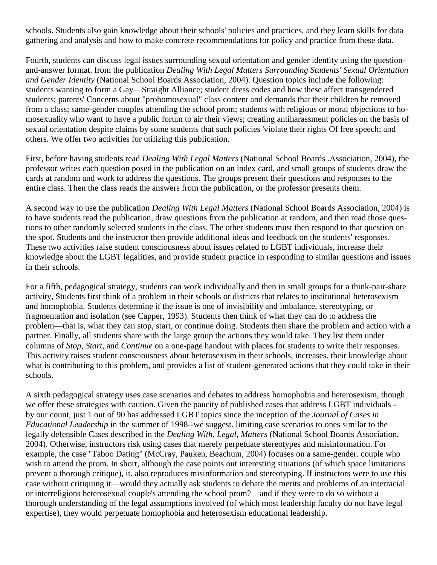schools. Students also gain knowledge about their schools' policies and practices, and they learn skills for data gathering and analysis and how to make concrete recommendations for policy and practice from these data.

Fourth, students can discuss legal issues surrounding sexual orientation and gender identity using the questionand-answer format. from the publication *Dealing With Legal Matters Surrounding Students' Sexual Orientation and Gender Identity* (National School Boards Association, 2004). Question topics include the following: students wanting to form a Gay—Straight Alliance; student dress codes and how these affect transgendered students; parents' Concerns about "prohomosexual" class content and demands that their children be removed from a class; same-gender couples attending the school prom; students with religious or moral objections to homosexuality who want to have a public forum to air their views; creating antiharassment policies on the basis of sexual orientation despite claims by some students that such policies 'violate their rights Of free speech; and others. We offer two activities for utilizing this publication.

First, before having students read *Dealing With Legal Matters* (National School Boards .Association, 2004), the professor writes each question posed in the publication on an index card, and small groups of students draw the cards at random and work to address the questions. The groups present their questions and responses to the entire class. Then the class reads the answers from the publication, or the professor presents them.

A second way to use the publication *Dealing With Legal Matters* (National School Boards Association, 2004) is to have students read the publication, draw questions from the publication at random, and then read those questions to other randomly selected students in the class. The other students must then respond to that question on the spot. Students and the instructor then provide additional ideas and feedback on the students' responses. These two activities raise student consciousness about issues related to LGBT individuals, increase their knowledge about the LGBT legalities, and provide student practice in responding to similar questions and issues in their schools.

For a fifth, pedagogical strategy, students can work individually and then in small groups for a think-pair-share activity, Students first think of a problem in their schools or districts that relates to institutional heterosexism and homophobia. Students determine if the issue is one of invisibility and imbalance, stereotyping, or fragmentation and isolation (see Capper, 1993). Students then think of what they can do to address the problem—that is, what they can stop, start, or continue doing. Students then share the problem and action with a partner. Finally, all students share with the large group the actions they would take. They list them under columns of *Stop, Start,* and *Continue* on a one-page handout with places for students to write their responses. This activity raises student consciousness about heterosexism in their schools, increases. their knowledge about what is contributing to this problem, and provides a list of student-generated actions that they could take in their schools.

A sixth pedagogical strategy uses case scenarios and debates to address homophobia and heterosexism, though we offer these strategies with caution. Given the paucity of published cases that address LGBT individuals by our count, just 1 out of 90 has addressed LGBT topics since the inception of the *Journal of Cases in Educational Leadership* in the summer of 1998--we suggest. limiting case scenarios to ones similar to the legally defensible Cases described in the *Dealing With, Legal, Matters* (National School Boards Association, 2004). Otherwise, instructors risk using cases that merely perpetuate stereotypes and misinformation. For example, the case "Taboo Dating" (McCray, Pauken, Beachum, 2004) focuses on a same-gender. couple who wish to attend the prom. In short, although the case points out interesting situations (of which space limitations prevent a thorough critique), it. also reproduces misinformation and stereotyping. If instructors were to use this case without critiquing it—would they actually ask students to debate the merits and problems of an interracial or interreligions heterosexual couple's attending the school prom?—and if they were to do so without a thorough understanding of the legal assumptions involved (of which most leadership faculty do not have legal expertise), they would perpetuate homophobia and heterosexism educational leadership.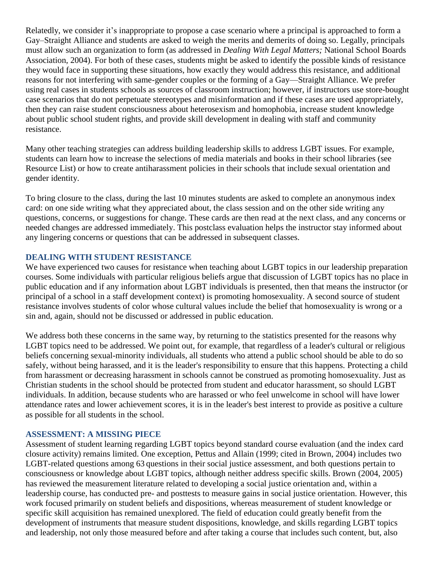Relatedly, we consider it's inappropriate to propose a case scenario where a principal is approached to form a Gay–Straight Alliance and students are asked to weigh the merits and demerits of doing so. Legally, principals must allow such an organization to form (as addressed in *Dealing With Legal Matters;* National School Boards Association, 2004). For both of these cases, students might be asked to identify the possible kinds of resistance they would face in supporting these situations, how exactly they would address this resistance, and additional reasons for not interfering with same-gender couples or the forming of a Gay—Straight Alliance. We prefer using real cases in students schools as sources of classroom instruction; however, if instructors use store-bought case scenarios that do not perpetuate stereotypes and misinformation and if these cases are used appropriately, then they can raise student consciousness about heterosexism and homophobia, increase student knowledge about public school student rights, and provide skill development in dealing with staff and community resistance.

Many other teaching strategies can address building leadership skills to address LGBT issues. For example, students can learn how to increase the selections of media materials and books in their school libraries (see Resource List) or how to create antiharassment policies in their schools that include sexual orientation and gender identity.

To bring closure to the class, during the last 10 minutes students are asked to complete an anonymous index card: on one side writing what they appreciated about, the class session and on the other side writing any questions, concerns, or suggestions for change. These cards are then read at the next class, and any concerns or needed changes are addressed immediately. This postclass evaluation helps the instructor stay informed about any lingering concerns or questions that can be addressed in subsequent classes.

# **DEALING WITH STUDENT RESISTANCE**

We have experienced two causes for resistance when teaching about LGBT topics in our leadership preparation courses. Some individuals with particular religious beliefs argue that discussion of LGBT topics has no place in public education and if any information about LGBT individuals is presented, then that means the instructor (or principal of a school in a staff development context) is promoting homosexuality. A second source of student resistance involves students of color whose cultural values include the belief that homosexuality is wrong or a sin and, again, should not be discussed or addressed in public education.

We address both these concerns in the same way, by returning to the statistics presented for the reasons why LGBT topics need to be addressed. We point out, for example, that regardless of a leader's cultural or religious beliefs concerning sexual-minority individuals, all students who attend a public school should be able to do so safely, without being harassed, and it is the leader's responsibility to ensure that this happens. Protecting a child from harassment or decreasing harassment in schools cannot be construed as promoting homosexuality. Just as Christian students in the school should be protected from student and educator harassment, so should LGBT individuals. In addition, because students who are harassed or who feel unwelcome in school will have lower attendance rates and lower achievement scores, it is in the leader's best interest to provide as positive a culture as possible for all students in the school.

#### **ASSESSMENT: A MISSING PIECE**

Assessment of student learning regarding LGBT topics beyond standard course evaluation (and the index card closure activity) remains limited. One exception, Pettus and Allain (1999; cited in Brown, 2004) includes two LGBT-related questions among 63 questions in their social justice assessment, and both questions pertain to consciousness or knowledge about LGBT topics, although neither address specific skills. Brown (2004, 2005) has reviewed the measurement literature related to developing a social justice orientation and, within a leadership course, has conducted pre- and posttests to measure gains in social justice orientation. However, this work focused primarily on student beliefs and dispositions, whereas measurement of student knowledge or specific skill acquisition has remained unexplored. The field of education could greatly benefit from the development of instruments that measure student dispositions, knowledge, and skills regarding LGBT topics and leadership, not only those measured before and after taking a course that includes such content, but, also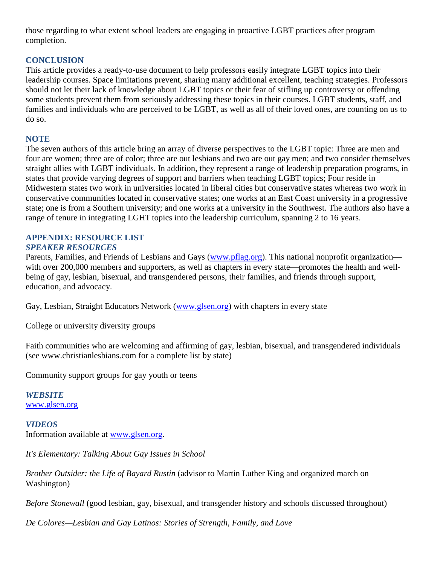those regarding to what extent school leaders are engaging in proactive LGBT practices after program completion.

# **CONCLUSION**

This article provides a ready-to-use document to help professors easily integrate LGBT topics into their leadership courses. Space limitations prevent, sharing many additional excellent, teaching strategies. Professors should not let their lack of knowledge about LGBT topics or their fear of stifling up controversy or offending some students prevent them from seriously addressing these topics in their courses. LGBT students, staff, and families and individuals who are perceived to be LGBT, as well as all of their loved ones, are counting on us to do so.

# **NOTE**

The seven authors of this article bring an array of diverse perspectives to the LGBT topic: Three are men and four are women; three are of color; three are out lesbians and two are out gay men; and two consider themselves straight allies with LGBT individuals. In addition, they represent a range of leadership preparation programs, in states that provide varying degrees of support and barriers when teaching LGBT topics; Four reside in Midwestern states two work in universities located in liberal cities but conservative states whereas two work in conservative communities located in conservative states; one works at an East Coast university in a progressive state; one is from a Southern university; and one works at a university in the Southwest. The authors also have a range of tenure in integrating LGHT topics into the leadership curriculum, spanning 2 to 16 years.

#### **APPENDIX: RESOURCE LIST**  *SPEAKER RESOURCES*

Parents, Families, and Friends of Lesbians and Gays [\(www.pflag.org\)](http://www.pflag.org/). This national nonprofit organization with over 200,000 members and supporters, as well as chapters in every state—promotes the health and wellbeing of gay, lesbian, bisexual, and transgendered persons, their families, and friends through support, education, and advocacy.

Gay, Lesbian, Straight Educators Network [\(www.glsen.org\)](http://www.glsen.org/) with chapters in every state

College or university diversity groups

Faith communities who are welcoming and affirming of gay, lesbian, bisexual, and transgendered individuals (see www.christianlesbians.com for a complete list by state)

Community support groups for gay youth or teens

*WEBSITE* [www.glsen.org](http://www.glsen.org/)

# *VIDEOS*

Information available at [www.glsen.org.](http://www.glsen.org/)

*It's Elementary: Talking About Gay Issues in School*

*Brother Outsider: the Life of Bayard Rustin* (advisor to Martin Luther King and organized march on Washington)

*Before Stonewall* (good lesbian, gay, bisexual, and transgender history and schools discussed throughout)

*De Colores—Lesbian and Gay Latinos: Stories of Strength, Family, and Love*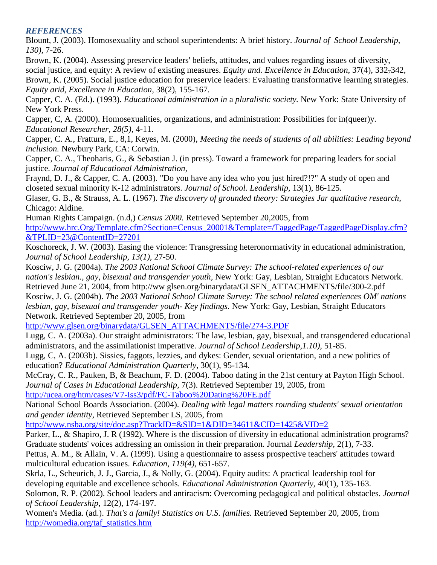# *REFERENCES*

Blount, J. (2003). Homosexuality and school superintendents: A brief history. *Journal of School Leadership, 130),* 7-26.

Brown, K. (2004). Assessing preservice leaders' beliefs, attitudes, and values regarding issues of diversity, social justice, and equity: A review of existing measures. *Equity and. Excellence in Education*, 37(4), 332<sub>7</sub>342, Brown, K. (2005). Social justice education for preservice leaders: Evaluating transformative learning strategies. *Equity arid, Excellence in Education,* 38(2), 155-167.

Capper, C. A. (Ed.). (1993). *Educational administration in* a *pluralistic society.* New York: State University of New York Press.

Capper, C, A. (2000). Homosexualities, organizations, and administration: Possibilities for in(queer)y. *Educational Researcher, 28(5),* 4-11.

Capper, C. A., Frattura, E., 8,1, Keyes, M. (2000), *Meeting the needs of students of all abilities: Leading beyond inclusion.* Newbury Park, CA: Corwin.

Capper, C. A., Theoharis, G., & Sebastian J. (in press). Toward a framework for preparing leaders for social justice. *Journal of Educational Administration,*

Fraynd, D. J., & Capper, C. A. (2003). "Do you have any idea who you just hired?!?" A study of open and closeted sexual minority K-12 administrators. *Journal of School. Leadership,* 13(1), 86-125.

Glaser, G. B., & Strauss, A. L. (1967). *The discovery of grounded theory: Strategies Jar qualitative research,*  Chicago: Aldine.

Human Rights Campaign. (n.d,) *Census 2000.* Retrieved September 20,2005, from http://www.hrc.Org/Template.cfm?Section=Census\_20001&Template=/TaggedPage/TaggedPageDisplay.cfm? &TPLID=23@ContentID=27201

Koschoreck, J. W. (2003). Easing the violence: Transgressing heteronormativity in educational administration, *Journal of School Leadership, 13(1),* 27-50.

Kosciw, J. G. (2004a). *The 2003 National School Climate Survey: The school-related experiences of our nation's lesbian., gay, bisexual and transgender youth,* New York: Gay, Lesbian, Straight Educators Network. Retrieved June 21, 2004, from http://ww glsen.org/binarydata/GLSEN\_ATTACHMENTS/file/300-2.pdf Kosciw, J. G. (2004b). *The 2003 National School Climate Survey: The school related experiences OM' nations lesbian, gay, bisexual and transgender youth- Key findings.* New York: Gay, Lesbian, Straight Educators Network. Retrieved September 20, 2005, from

[http://www.glsen.org/binarydata/GLSEN\\_ATTACHMENTS/file/274-3.PDF](http://www.glsen.org/binarydata/GLSEN_ATTACHMENTS/file/274-3.PDF)

Lugg, C. A. (2003a). Our straight administrators: The law, lesbian, gay, bisexual, and transgendered educational administrators, and the assimilationist imperative. *Journal of School Leadership,1.10),* 51-85.

Lugg, C, A. (2003b). Sissies, faggots, lezzies, and dykes: Gender, sexual orientation, and a new politics of education? *Educational Administration Quarterly,* 30(1), 95-134.

McCray, C. R., Pauken, B, & Beachum, F. D. (2004). Taboo dating in the 21st century at Payton High School. *Journal of Cases in Educational Leadership,* 7(3). Retrieved September 19, 2005, from [http://ucea.org/htm/cases/V7-Iss3/p](http://ucea.org/htm/cases/V7-Iss3/)df/FC-Taboo%20Dating%20FE.pdf

National School Boards Association. (2004). *Dealing with legal matters rounding students' sexual orientation and gender identity,* Retrieved September LS, 2005, from

<http://www.nsba.org/site/doc.asp?TrackID=&SID=1&DID=34611&CID=1425&VID=2>

Parker, L., & Shapiro, J. R (1992). Where is the discussion of diversity in educational administration programs? Graduate students' voices addressing an omission in their preparation. Journal *Leadership,* 2(1), 7-33.

Pettus, A. M., & Allain, V. A. (1999). Using a questionnaire to assess prospective teachers' attitudes toward multicultural education issues. *Education, 119(4),* 651-657.

Skrla, L., Scheurich, J. J., Garcia, J., & Nolly, G. (2004). Equity audits: A practical leadership tool for developing equitable and excellence schools. *Educational Administration Quarterly,* 40(1), 135-163. Solomon, R. P. (2002). School leaders and antiracism: Overcoming pedagogical and political obstacles. *Journal of School Leadership,* 12(2), 174-197.

Women's Media. (ad.). *That's a family! Statistics on U.S. families.* Retrieved September 20, 2005, from [http://womedia.org/taf\\_statistics.htm](http://womedia.org/taf_statistics.htm)